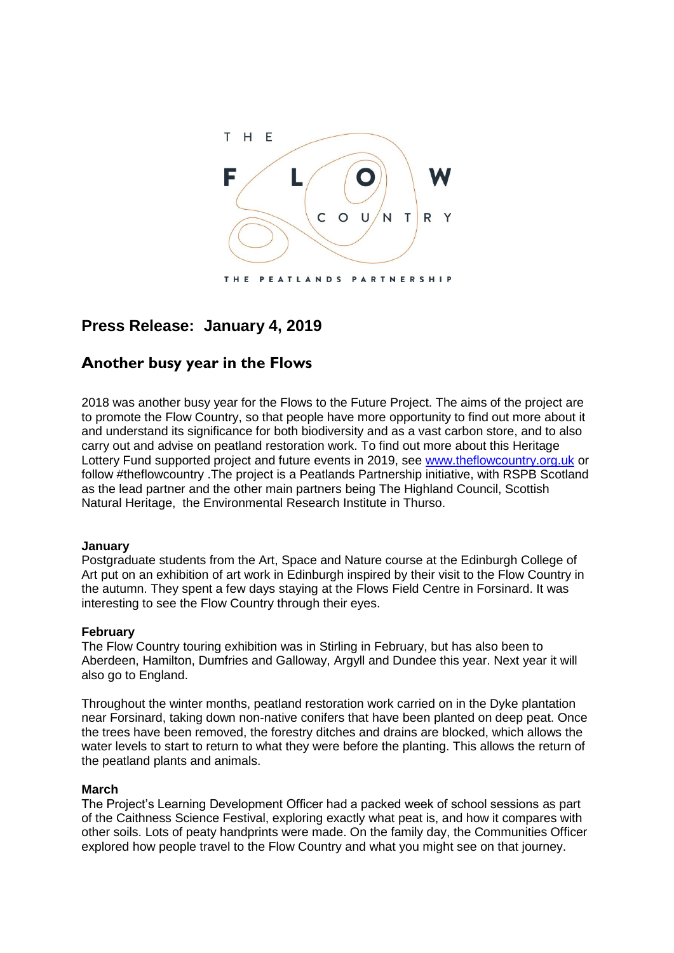

# **Press Release: January 4, 2019**

# **Another busy year in the Flows**

2018 was another busy year for the Flows to the Future Project. The aims of the project are to promote the Flow Country, so that people have more opportunity to find out more about it and understand its significance for both biodiversity and as a vast carbon store, and to also carry out and advise on peatland restoration work. To find out more about this Heritage Lottery Fund supported project and future events in 2019, see [www.theflowcountry.org.uk](http://www.theflowcountry.org.uk/) or follow #theflowcountry .The project is a Peatlands Partnership initiative, with RSPB Scotland as the lead partner and the other main partners being The Highland Council, Scottish Natural Heritage, the Environmental Research Institute in Thurso.

# **January**

Postgraduate students from the Art, Space and Nature course at the Edinburgh College of Art put on an exhibition of art work in Edinburgh inspired by their visit to the Flow Country in the autumn. They spent a few days staying at the Flows Field Centre in Forsinard. It was interesting to see the Flow Country through their eyes.

### **February**

The Flow Country touring exhibition was in Stirling in February, but has also been to Aberdeen, Hamilton, Dumfries and Galloway, Argyll and Dundee this year. Next year it will also go to England.

Throughout the winter months, peatland restoration work carried on in the Dyke plantation near Forsinard, taking down non-native conifers that have been planted on deep peat. Once the trees have been removed, the forestry ditches and drains are blocked, which allows the water levels to start to return to what they were before the planting. This allows the return of the peatland plants and animals.

### **March**

The Project's Learning Development Officer had a packed week of school sessions as part of the Caithness Science Festival, exploring exactly what peat is, and how it compares with other soils. Lots of peaty handprints were made. On the family day, the Communities Officer explored how people travel to the Flow Country and what you might see on that journey.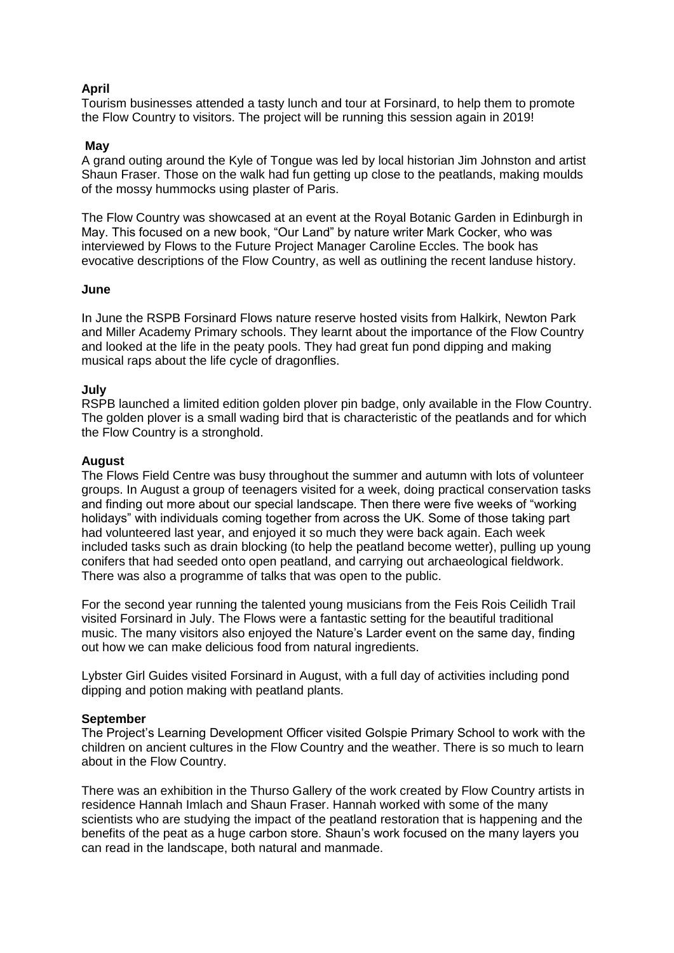# **April**

Tourism businesses attended a tasty lunch and tour at Forsinard, to help them to promote the Flow Country to visitors. The project will be running this session again in 2019!

## **May**

A grand outing around the Kyle of Tongue was led by local historian Jim Johnston and artist Shaun Fraser. Those on the walk had fun getting up close to the peatlands, making moulds of the mossy hummocks using plaster of Paris.

The Flow Country was showcased at an event at the Royal Botanic Garden in Edinburgh in May. This focused on a new book, "Our Land" by nature writer Mark Cocker, who was interviewed by Flows to the Future Project Manager Caroline Eccles. The book has evocative descriptions of the Flow Country, as well as outlining the recent landuse history.

### **June**

In June the RSPB Forsinard Flows nature reserve hosted visits from Halkirk, Newton Park and Miller Academy Primary schools. They learnt about the importance of the Flow Country and looked at the life in the peaty pools. They had great fun pond dipping and making musical raps about the life cycle of dragonflies.

# **July**

RSPB launched a limited edition golden plover pin badge, only available in the Flow Country. The golden plover is a small wading bird that is characteristic of the peatlands and for which the Flow Country is a stronghold.

### **August**

The Flows Field Centre was busy throughout the summer and autumn with lots of volunteer groups. In August a group of teenagers visited for a week, doing practical conservation tasks and finding out more about our special landscape. Then there were five weeks of "working holidays" with individuals coming together from across the UK. Some of those taking part had volunteered last year, and enjoyed it so much they were back again. Each week included tasks such as drain blocking (to help the peatland become wetter), pulling up young conifers that had seeded onto open peatland, and carrying out archaeological fieldwork. There was also a programme of talks that was open to the public.

For the second year running the talented young musicians from the Feis Rois Ceilidh Trail visited Forsinard in July. The Flows were a fantastic setting for the beautiful traditional music. The many visitors also enjoyed the Nature's Larder event on the same day, finding out how we can make delicious food from natural ingredients.

Lybster Girl Guides visited Forsinard in August, with a full day of activities including pond dipping and potion making with peatland plants.

### **September**

The Project's Learning Development Officer visited Golspie Primary School to work with the children on ancient cultures in the Flow Country and the weather. There is so much to learn about in the Flow Country.

There was an exhibition in the Thurso Gallery of the work created by Flow Country artists in residence Hannah Imlach and Shaun Fraser. Hannah worked with some of the many scientists who are studying the impact of the peatland restoration that is happening and the benefits of the peat as a huge carbon store. Shaun's work focused on the many layers you can read in the landscape, both natural and manmade.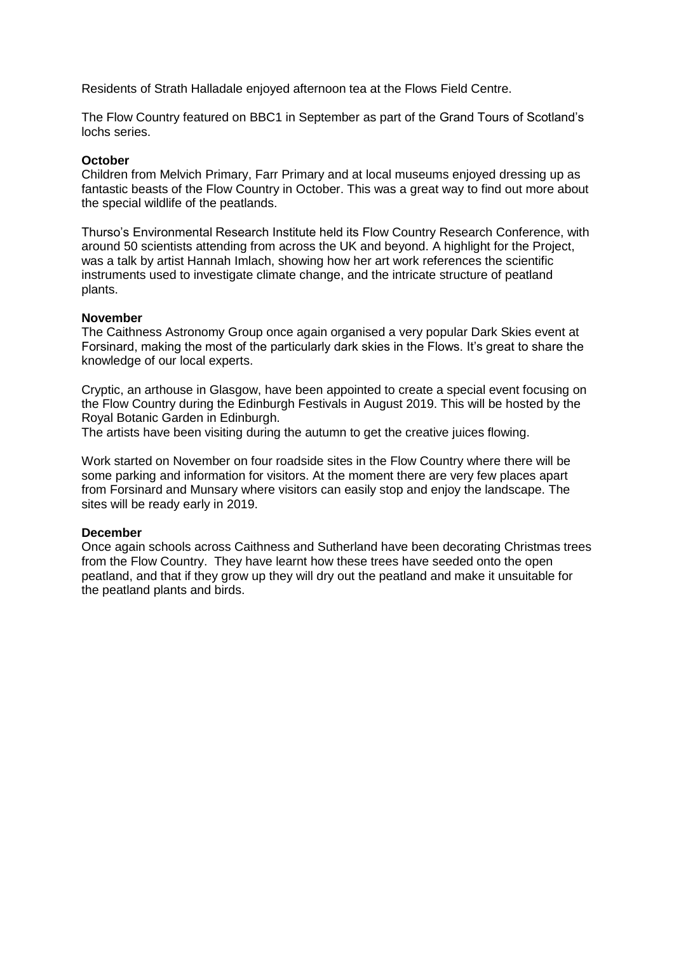Residents of Strath Halladale enjoyed afternoon tea at the Flows Field Centre.

The Flow Country featured on BBC1 in September as part of the Grand Tours of Scotland's lochs series.

## **October**

Children from Melvich Primary, Farr Primary and at local museums enjoyed dressing up as fantastic beasts of the Flow Country in October. This was a great way to find out more about the special wildlife of the peatlands.

Thurso's Environmental Research Institute held its Flow Country Research Conference, with around 50 scientists attending from across the UK and beyond. A highlight for the Project, was a talk by artist Hannah Imlach, showing how her art work references the scientific instruments used to investigate climate change, and the intricate structure of peatland plants.

# **November**

The Caithness Astronomy Group once again organised a very popular Dark Skies event at Forsinard, making the most of the particularly dark skies in the Flows. It's great to share the knowledge of our local experts.

Cryptic, an arthouse in Glasgow, have been appointed to create a special event focusing on the Flow Country during the Edinburgh Festivals in August 2019. This will be hosted by the Royal Botanic Garden in Edinburgh.

The artists have been visiting during the autumn to get the creative juices flowing.

Work started on November on four roadside sites in the Flow Country where there will be some parking and information for visitors. At the moment there are very few places apart from Forsinard and Munsary where visitors can easily stop and enjoy the landscape. The sites will be ready early in 2019.

### **December**

Once again schools across Caithness and Sutherland have been decorating Christmas trees from the Flow Country. They have learnt how these trees have seeded onto the open peatland, and that if they grow up they will dry out the peatland and make it unsuitable for the peatland plants and birds.